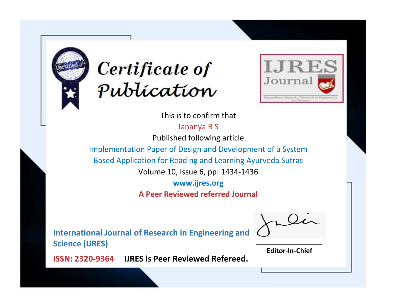



This is to confirm that

Jananya B S

Published following article

Implementation Paper of Design and Development of a System

Based Application for Reading and Learning Ayurveda Sutras

Volume 10, Issue 6, pp: 1434-1436

**www.ijres.org**

**A Peer Reviewed referred Journal**

**International Journal of Research in Engineering and Science (IJRES)**

\_\_\_\_\_\_\_\_\_\_\_\_\_\_\_\_\_\_\_\_\_\_\_\_ **Editor-In-Chief**

**Journal.**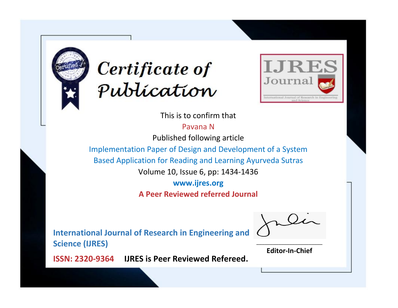



This is to confirm that

Pavana N

Published following article

Implementation Paper of Design and Development of a System

Based Application for Reading and Learning Ayurveda Sutras

Volume 10, Issue 6, pp: 1434-1436

**www.ijres.org**

**A Peer Reviewed referred Journal**

**International Journal of Research in Engineering and Science (IJRES)**

\_\_\_\_\_\_\_\_\_\_\_\_\_\_\_\_\_\_\_\_\_\_\_\_ **Editor-In-Chief**

**Journal.**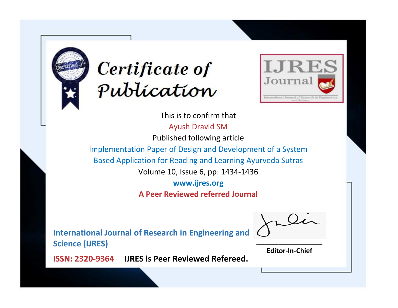



This is to confirm that Ayush Dravid SM Published following article Implementation Paper of Design and Development of a System Based Application for Reading and Learning Ayurveda Sutras Volume 10, Issue 6, pp: 1434-1436 **www.ijres.org**

**A Peer Reviewed referred Journal**

**International Journal of Research in Engineering and Science (IJRES)**

\_\_\_\_\_\_\_\_\_\_\_\_\_\_\_\_\_\_\_\_\_\_\_\_ **Editor-In-Chief**

**Journal.**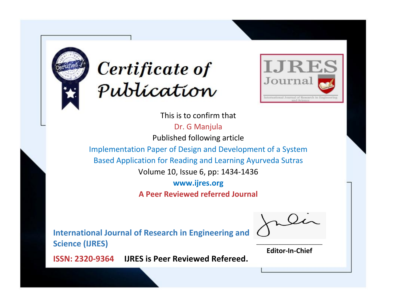



This is to confirm that Dr. G Manjula Published following article Implementation Paper of Design and Development of a System Based Application for Reading and Learning Ayurveda Sutras Volume 10, Issue 6, pp: 1434-1436 **www.ijres.org**

**A Peer Reviewed referred Journal**

**International Journal of Research in Engineering and Science (IJRES)**

\_\_\_\_\_\_\_\_\_\_\_\_\_\_\_\_\_\_\_\_\_\_\_\_ **Editor-In-Chief**

**Journal.**